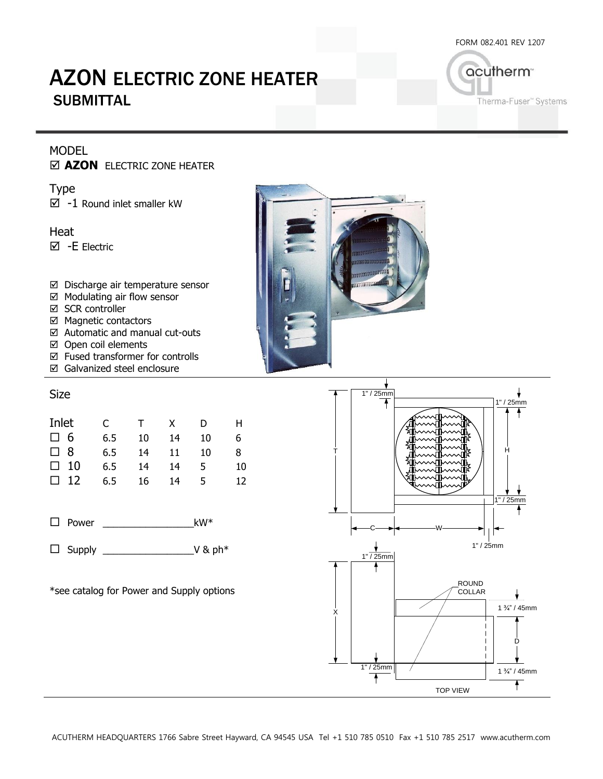FORM 082.401 REV 1207

# AZON ELECTRIC ZONE HEATER **SUBMITTAL**

acutherm<sup>®</sup> Therma-Fuser" Systems

### MODEL

**AZON** ELECTRIC ZONE HEATER

Type  $\boxtimes$  -1 Round inlet smaller kW

Heat -E Electric

- Discharge air temperature sensor
- $\boxtimes$  Modulating air flow sensor
- **⊠** SCR controller
- $\boxtimes$  Magnetic contactors
- Automatic and manual cut-outs
- Open coil elements
- Fused transformer for controlls
- Galvanized steel enclosure

#### Size

| Inlet       | C.  | $\top$ | $\mathsf{X}$ | D  | H. |
|-------------|-----|--------|--------------|----|----|
| $\square$ 6 | 6.5 | 10     | 14           | 10 | 6. |
| $\square$ 8 | 6.5 | 14     | 11           | 10 | 8  |
| $\Box$ 10   | 6.5 | 14     | 14           | 5  | 10 |
| $\Box$ 12   | 6.5 | 16     | 14           | 5  | 12 |

 $\Box$  Power kW\*

Supply \_\_\_\_\_\_\_\_\_\_\_\_\_\_\_\_\_V & ph\*

\*see catalog for Power and Supply options